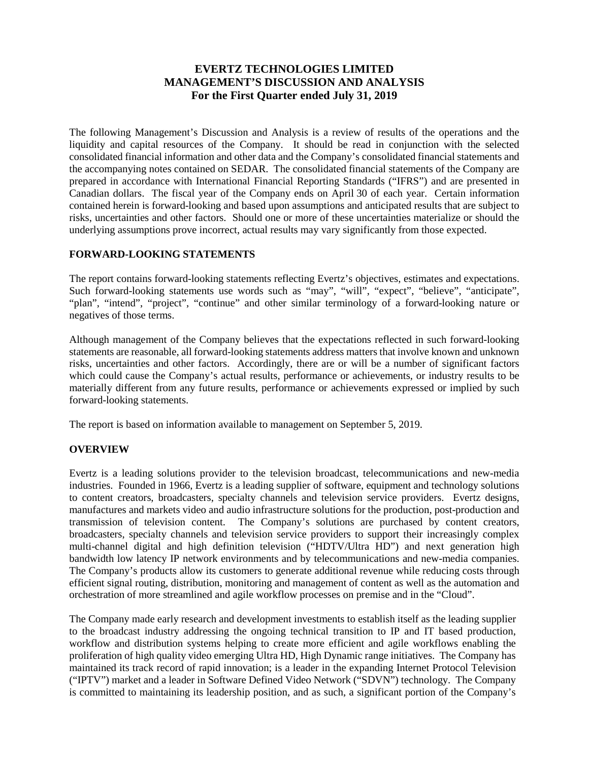## **EVERTZ TECHNOLOGIES LIMITED MANAGEMENT'S DISCUSSION AND ANALYSIS For the First Quarter ended July 31, 2019**

The following Management's Discussion and Analysis is a review of results of the operations and the liquidity and capital resources of the Company. It should be read in conjunction with the selected consolidated financial information and other data and the Company's consolidated financial statements and the accompanying notes contained on SEDAR. The consolidated financial statements of the Company are prepared in accordance with International Financial Reporting Standards ("IFRS") and are presented in Canadian dollars. The fiscal year of the Company ends on April 30 of each year. Certain information contained herein is forward-looking and based upon assumptions and anticipated results that are subject to risks, uncertainties and other factors. Should one or more of these uncertainties materialize or should the underlying assumptions prove incorrect, actual results may vary significantly from those expected.

### **FORWARD-LOOKING STATEMENTS**

The report contains forward-looking statements reflecting Evertz's objectives, estimates and expectations. Such forward-looking statements use words such as "may", "will", "expect", "believe", "anticipate", "plan", "intend", "project", "continue" and other similar terminology of a forward-looking nature or negatives of those terms.

Although management of the Company believes that the expectations reflected in such forward-looking statements are reasonable, all forward-looking statements address matters that involve known and unknown risks, uncertainties and other factors. Accordingly, there are or will be a number of significant factors which could cause the Company's actual results, performance or achievements, or industry results to be materially different from any future results, performance or achievements expressed or implied by such forward-looking statements.

The report is based on information available to management on September 5, 2019.

### **OVERVIEW**

Evertz is a leading solutions provider to the television broadcast, telecommunications and new-media industries. Founded in 1966, Evertz is a leading supplier of software, equipment and technology solutions to content creators, broadcasters, specialty channels and television service providers. Evertz designs, manufactures and markets video and audio infrastructure solutions for the production, post-production and transmission of television content. The Company's solutions are purchased by content creators, broadcasters, specialty channels and television service providers to support their increasingly complex multi-channel digital and high definition television ("HDTV/Ultra HD") and next generation high bandwidth low latency IP network environments and by telecommunications and new-media companies. The Company's products allow its customers to generate additional revenue while reducing costs through efficient signal routing, distribution, monitoring and management of content as well as the automation and orchestration of more streamlined and agile workflow processes on premise and in the "Cloud".

The Company made early research and development investments to establish itself as the leading supplier to the broadcast industry addressing the ongoing technical transition to IP and IT based production, workflow and distribution systems helping to create more efficient and agile workflows enabling the proliferation of high quality video emerging Ultra HD, High Dynamic range initiatives. The Company has maintained its track record of rapid innovation; is a leader in the expanding Internet Protocol Television ("IPTV") market and a leader in Software Defined Video Network ("SDVN") technology. The Company is committed to maintaining its leadership position, and as such, a significant portion of the Company's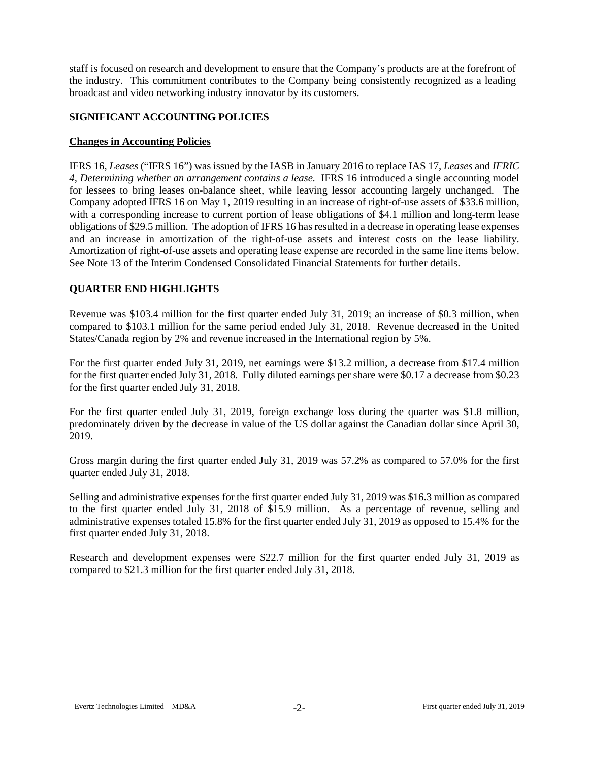staff is focused on research and development to ensure that the Company's products are at the forefront of the industry. This commitment contributes to the Company being consistently recognized as a leading broadcast and video networking industry innovator by its customers.

### **SIGNIFICANT ACCOUNTING POLICIES**

### **Changes in Accounting Policies**

IFRS 16, *Leases* ("IFRS 16") was issued by the IASB in January 2016 to replace IAS 17, *Leases* and *IFRIC 4, Determining whether an arrangement contains a lease.* IFRS 16 introduced a single accounting model for lessees to bring leases on-balance sheet, while leaving lessor accounting largely unchanged. The Company adopted IFRS 16 on May 1, 2019 resulting in an increase of right-of-use assets of \$33.6 million, with a corresponding increase to current portion of lease obligations of \$4.1 million and long-term lease obligations of \$29.5 million. The adoption of IFRS 16 has resulted in a decrease in operating lease expenses and an increase in amortization of the right-of-use assets and interest costs on the lease liability. Amortization of right-of-use assets and operating lease expense are recorded in the same line items below. See Note 13 of the Interim Condensed Consolidated Financial Statements for further details.

### **QUARTER END HIGHLIGHTS**

Revenue was \$103.4 million for the first quarter ended July 31, 2019; an increase of \$0.3 million, when compared to \$103.1 million for the same period ended July 31, 2018. Revenue decreased in the United States/Canada region by 2% and revenue increased in the International region by 5%.

For the first quarter ended July 31, 2019, net earnings were \$13.2 million, a decrease from \$17.4 million for the first quarter ended July 31, 2018. Fully diluted earnings per share were \$0.17 a decrease from \$0.23 for the first quarter ended July 31, 2018.

For the first quarter ended July 31, 2019, foreign exchange loss during the quarter was \$1.8 million, predominately driven by the decrease in value of the US dollar against the Canadian dollar since April 30, 2019.

Gross margin during the first quarter ended July 31, 2019 was 57.2% as compared to 57.0% for the first quarter ended July 31, 2018.

Selling and administrative expenses for the first quarter ended July 31, 2019 was \$16.3 million as compared to the first quarter ended July 31, 2018 of \$15.9 million. As a percentage of revenue, selling and administrative expenses totaled 15.8% for the first quarter ended July 31, 2019 as opposed to 15.4% for the first quarter ended July 31, 2018.

Research and development expenses were \$22.7 million for the first quarter ended July 31, 2019 as compared to \$21.3 million for the first quarter ended July 31, 2018.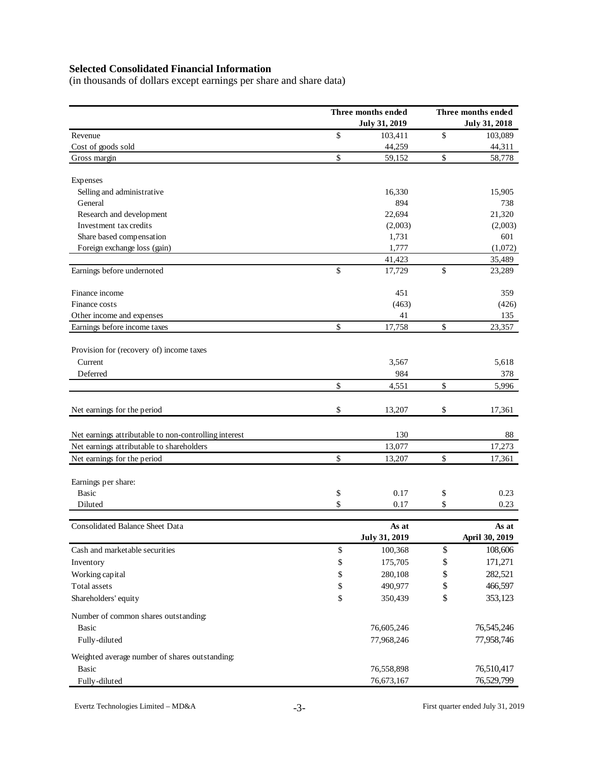# **Selected Consolidated Financial Information**

(in thousands of dollars except earnings per share and share data)

|                                                       | Three months ended |                      | Three months ended |                      |  |  |
|-------------------------------------------------------|--------------------|----------------------|--------------------|----------------------|--|--|
|                                                       |                    | <b>July 31, 2019</b> |                    | <b>July 31, 2018</b> |  |  |
| Revenue                                               | \$                 | 103,411              | \$                 | 103,089              |  |  |
| Cost of goods sold                                    |                    | 44,259               |                    | 44,311               |  |  |
| Gross margin                                          | \$                 | 59,152               | \$                 | 58,778               |  |  |
| Expenses                                              |                    |                      |                    |                      |  |  |
| Selling and administrative                            |                    | 16,330               |                    | 15,905               |  |  |
| General                                               |                    | 894                  |                    | 738                  |  |  |
| Research and development                              |                    | 22,694               |                    | 21,320               |  |  |
| Investment tax credits                                |                    | (2,003)              |                    | (2,003)              |  |  |
| Share based compensation                              |                    | 1,731                |                    | 601                  |  |  |
| Foreign exchange loss (gain)                          |                    | 1,777                |                    | (1,072)              |  |  |
|                                                       |                    | 41,423               |                    | 35,489               |  |  |
| Earnings before undernoted                            | \$                 | 17,729               | \$                 | 23,289               |  |  |
| Finance income                                        |                    | 451                  |                    | 359                  |  |  |
| Finance costs                                         |                    | (463)                |                    | (426)                |  |  |
| Other income and expenses                             |                    | 41                   |                    | 135                  |  |  |
| Earnings before income taxes                          | \$                 | 17,758               | \$                 | 23,357               |  |  |
| Provision for (recovery of) income taxes              |                    |                      |                    |                      |  |  |
| Current                                               |                    | 3,567                |                    | 5,618                |  |  |
| Deferred                                              |                    | 984                  |                    | 378                  |  |  |
|                                                       | \$                 | 4,551                | \$                 | 5,996                |  |  |
| Net earnings for the period                           | \$                 | 13,207               | \$                 | 17,361               |  |  |
| Net earnings attributable to non-controlling interest |                    | 130                  |                    | 88                   |  |  |
| Net earnings attributable to shareholders             |                    | 13,077               |                    | 17,273               |  |  |
| Net earnings for the period                           | \$                 | 13,207               | \$                 | 17,361               |  |  |
| Earnings per share:                                   |                    |                      |                    |                      |  |  |
| <b>Basic</b>                                          | \$                 | 0.17                 | \$                 | 0.23                 |  |  |
| Diluted                                               | \$                 | 0.17                 | \$                 | 0.23                 |  |  |
| Consolidated Balance Sheet Data                       |                    | As at                |                    | As at                |  |  |
|                                                       |                    | <b>July 31, 2019</b> |                    | April 30, 2019       |  |  |
| Cash and marketable securities                        | \$                 | 100,368              | \$                 | 108,606              |  |  |
| Inventory                                             | \$                 | 175,705              | \$                 | 171,271              |  |  |
| Working capital                                       | \$                 | 280,108              | \$                 | 282,521              |  |  |
| Total assets                                          | \$                 | 490,977              | \$                 | 466,597              |  |  |
| Shareholders' equity                                  | \$                 | 350,439              | \$                 | 353,123              |  |  |
| Number of common shares outstanding:                  |                    |                      |                    |                      |  |  |
| Basic                                                 |                    | 76,605,246           |                    | 76,545,246           |  |  |
| Fully-diluted                                         |                    | 77,968,246           |                    | 77,958,746           |  |  |
| Weighted average number of shares outstanding:        |                    |                      |                    |                      |  |  |
| <b>Basic</b>                                          |                    | 76,558,898           |                    | 76,510,417           |  |  |
| Fully-diluted                                         |                    | 76,673,167           |                    | 76,529,799           |  |  |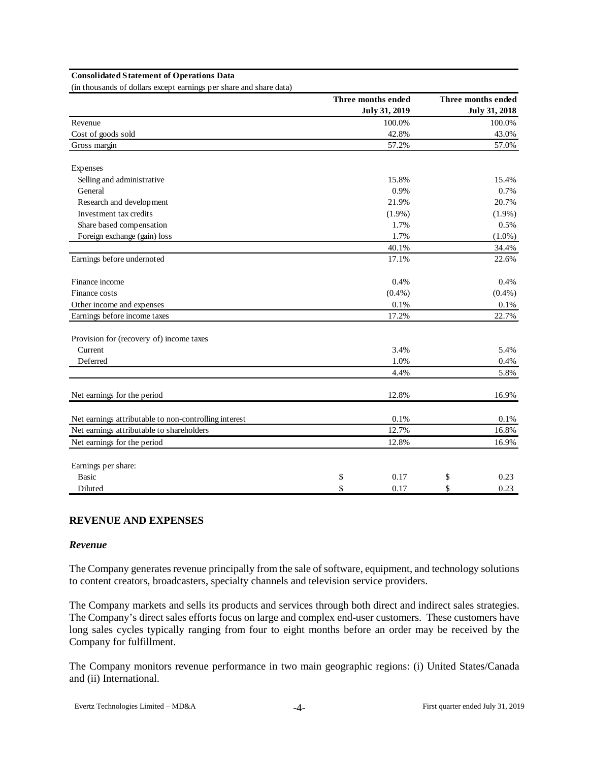#### **Consolidated Statement of Operations Data**

(in thousands of dollars except earnings per share and share data)

|                                                       | Three months ended |                      | Three months ended   |
|-------------------------------------------------------|--------------------|----------------------|----------------------|
|                                                       |                    | <b>July 31, 2019</b> | <b>July 31, 2018</b> |
| Revenue                                               |                    | 100.0%               | 100.0%               |
| Cost of goods sold                                    |                    | 42.8%                | 43.0%                |
| Gross margin                                          |                    | 57.2%                | 57.0%                |
| Expenses                                              |                    |                      |                      |
| Selling and administrative                            |                    | 15.8%                | 15.4%                |
| General                                               |                    | 0.9%                 | 0.7%                 |
| Research and development                              |                    | 21.9%                | 20.7%                |
| Investment tax credits                                |                    | $(1.9\%)$            | $(1.9\%)$            |
| Share based compensation                              |                    | 1.7%                 | 0.5%                 |
| Foreign exchange (gain) loss                          |                    | 1.7%                 | $(1.0\%)$            |
|                                                       |                    | 40.1%                | 34.4%                |
| Earnings before undernoted                            |                    | 17.1%                | 22.6%                |
| Finance income                                        |                    | 0.4%                 | 0.4%                 |
| Finance costs                                         |                    | $(0.4\%)$            | $(0.4\%)$            |
| Other income and expenses                             |                    | 0.1%                 | $0.1\%$              |
| Earnings before income taxes                          |                    | 17.2%                | 22.7%                |
| Provision for (recovery of) income taxes              |                    |                      |                      |
| Current                                               |                    | 3.4%                 | 5.4%                 |
| Deferred                                              |                    | 1.0%                 | 0.4%                 |
|                                                       |                    | 4.4%                 | 5.8%                 |
| Net earnings for the period                           |                    | 12.8%                | 16.9%                |
| Net earnings attributable to non-controlling interest |                    | 0.1%                 | 0.1%                 |
| Net earnings attributable to shareholders             |                    | 12.7%                | 16.8%                |
| Net earnings for the period                           |                    | 12.8%                | 16.9%                |
| Earnings per share:                                   |                    |                      |                      |
| <b>Basic</b>                                          | \$                 | 0.17                 | \$<br>0.23           |
| Diluted                                               | \$                 | 0.17                 | \$<br>0.23           |

### **REVENUE AND EXPENSES**

#### *Revenue*

The Company generates revenue principally from the sale of software, equipment, and technology solutions to content creators, broadcasters, specialty channels and television service providers.

The Company markets and sells its products and services through both direct and indirect sales strategies. The Company's direct sales efforts focus on large and complex end-user customers. These customers have long sales cycles typically ranging from four to eight months before an order may be received by the Company for fulfillment.

The Company monitors revenue performance in two main geographic regions: (i) United States/Canada and (ii) International.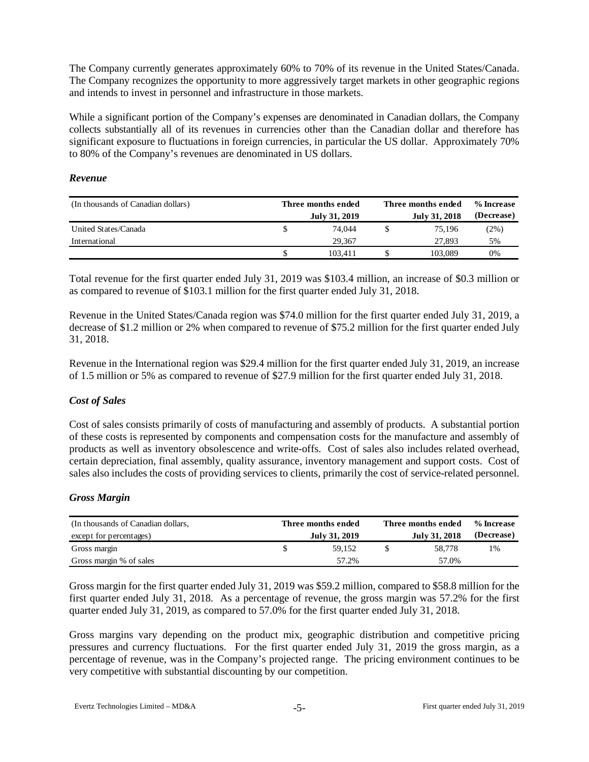The Company currently generates approximately 60% to 70% of its revenue in the United States/Canada. The Company recognizes the opportunity to more aggressively target markets in other geographic regions and intends to invest in personnel and infrastructure in those markets.

While a significant portion of the Company's expenses are denominated in Canadian dollars, the Company collects substantially all of its revenues in currencies other than the Canadian dollar and therefore has significant exposure to fluctuations in foreign currencies, in particular the US dollar. Approximately 70% to 80% of the Company's revenues are denominated in US dollars.

### *Revenue*

| (In thousands of Canadian dollars) | Three months ended | Three months ended | % Increase    |            |
|------------------------------------|--------------------|--------------------|---------------|------------|
|                                    | July 31, 2019      |                    | July 31, 2018 | (Decrease) |
| United States/Canada               | 74.044             |                    | 75.196        | $(2\%)$    |
| International                      | 29.367             |                    | 27,893        | 5%         |
|                                    | 103.411            |                    | 103.089       | 0%         |

Total revenue for the first quarter ended July 31, 2019 was \$103.4 million, an increase of \$0.3 million or as compared to revenue of \$103.1 million for the first quarter ended July 31, 2018.

Revenue in the United States/Canada region was \$74.0 million for the first quarter ended July 31, 2019, a decrease of \$1.2 million or 2% when compared to revenue of \$75.2 million for the first quarter ended July 31, 2018.

Revenue in the International region was \$29.4 million for the first quarter ended July 31, 2019, an increase of 1.5 million or 5% as compared to revenue of \$27.9 million for the first quarter ended July 31, 2018.

### *Cost of Sales*

Cost of sales consists primarily of costs of manufacturing and assembly of products. A substantial portion of these costs is represented by components and compensation costs for the manufacture and assembly of products as well as inventory obsolescence and write-offs. Cost of sales also includes related overhead, certain depreciation, final assembly, quality assurance, inventory management and support costs. Cost of sales also includes the costs of providing services to clients, primarily the cost of service-related personnel.

### *Gross Margin*

| (In thousands of Canadian dollars, | Three months ended | Three months ended | % Increase    |            |
|------------------------------------|--------------------|--------------------|---------------|------------|
| except for percentages)            | July 31, 2019      |                    | July 31, 2018 | (Decrease) |
| Gross margin                       | 59.152             |                    | 58,778        | 1%         |
| Gross margin % of sales            | 57.2%              |                    | 57.0%         |            |

Gross margin for the first quarter ended July 31, 2019 was \$59.2 million, compared to \$58.8 million for the first quarter ended July 31, 2018. As a percentage of revenue, the gross margin was 57.2% for the first quarter ended July 31, 2019, as compared to 57.0% for the first quarter ended July 31, 2018.

Gross margins vary depending on the product mix, geographic distribution and competitive pricing pressures and currency fluctuations. For the first quarter ended July 31, 2019 the gross margin, as a percentage of revenue, was in the Company's projected range. The pricing environment continues to be very competitive with substantial discounting by our competition.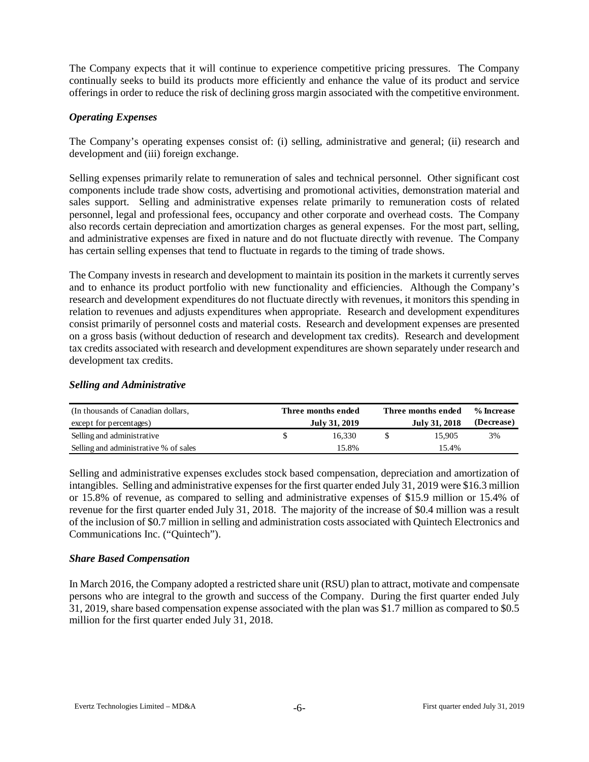The Company expects that it will continue to experience competitive pricing pressures. The Company continually seeks to build its products more efficiently and enhance the value of its product and service offerings in order to reduce the risk of declining gross margin associated with the competitive environment.

### *Operating Expenses*

The Company's operating expenses consist of: (i) selling, administrative and general; (ii) research and development and (iii) foreign exchange.

Selling expenses primarily relate to remuneration of sales and technical personnel. Other significant cost components include trade show costs, advertising and promotional activities, demonstration material and sales support. Selling and administrative expenses relate primarily to remuneration costs of related personnel, legal and professional fees, occupancy and other corporate and overhead costs. The Company also records certain depreciation and amortization charges as general expenses. For the most part, selling, and administrative expenses are fixed in nature and do not fluctuate directly with revenue. The Company has certain selling expenses that tend to fluctuate in regards to the timing of trade shows.

The Company invests in research and development to maintain its position in the markets it currently serves and to enhance its product portfolio with new functionality and efficiencies. Although the Company's research and development expenditures do not fluctuate directly with revenues, it monitors this spending in relation to revenues and adjusts expenditures when appropriate. Research and development expenditures consist primarily of personnel costs and material costs. Research and development expenses are presented on a gross basis (without deduction of research and development tax credits). Research and development tax credits associated with research and development expenditures are shown separately under research and development tax credits.

### *Selling and Administrative*

| (In thousands of Canadian dollars,    | Three months ended | Three months ended | % Increase |
|---------------------------------------|--------------------|--------------------|------------|
| except for percentages)               | July 31, 2019      | July 31, 2018      | (Decrease) |
| Selling and administrative            | 16.330             | 15.905             | 3%         |
| Selling and administrative % of sales | 15.8%              | 15.4%              |            |

Selling and administrative expenses excludes stock based compensation, depreciation and amortization of intangibles. Selling and administrative expenses for the first quarter ended July 31, 2019 were \$16.3 million or 15.8% of revenue, as compared to selling and administrative expenses of \$15.9 million or 15.4% of revenue for the first quarter ended July 31, 2018. The majority of the increase of \$0.4 million was a result of the inclusion of \$0.7 million in selling and administration costs associated with Quintech Electronics and Communications Inc. ("Quintech").

### *Share Based Compensation*

In March 2016, the Company adopted a restricted share unit (RSU) plan to attract, motivate and compensate persons who are integral to the growth and success of the Company. During the first quarter ended July 31, 2019, share based compensation expense associated with the plan was \$1.7 million as compared to \$0.5 million for the first quarter ended July 31, 2018.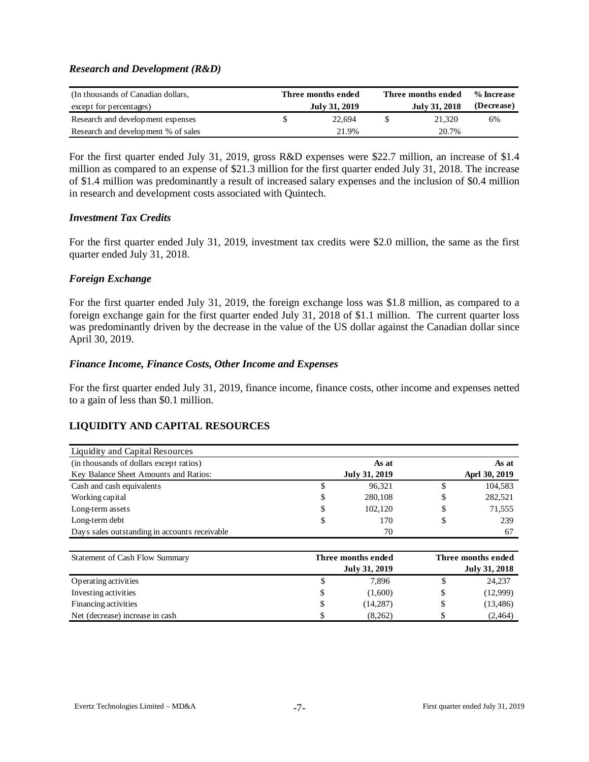### *Research and Development (R&D)*

| (In thousands of Canadian dollars,<br>except for percentages) | Three months ended<br>July 31, 2019 | Three months ended<br>July 31, 2018 | % Increase<br>(Decrease) |  |  |
|---------------------------------------------------------------|-------------------------------------|-------------------------------------|--------------------------|--|--|
| Research and development expenses                             | 22.694                              | 21.320                              | 6%                       |  |  |
| Research and development % of sales                           | 21.9%                               | 20.7%                               |                          |  |  |

For the first quarter ended July 31, 2019, gross R&D expenses were \$22.7 million, an increase of \$1.4 million as compared to an expense of \$21.3 million for the first quarter ended July 31, 2018. The increase of \$1.4 million was predominantly a result of increased salary expenses and the inclusion of \$0.4 million in research and development costs associated with Quintech.

#### *Investment Tax Credits*

For the first quarter ended July 31, 2019, investment tax credits were \$2.0 million, the same as the first quarter ended July 31, 2018.

### *Foreign Exchange*

For the first quarter ended July 31, 2019, the foreign exchange loss was \$1.8 million, as compared to a foreign exchange gain for the first quarter ended July 31, 2018 of \$1.1 million. The current quarter loss was predominantly driven by the decrease in the value of the US dollar against the Canadian dollar since April 30, 2019.

### *Finance Income, Finance Costs, Other Income and Expenses*

For the first quarter ended July 31, 2019, finance income, finance costs, other income and expenses netted to a gain of less than \$0.1 million.

## **LIQUIDITY AND CAPITAL RESOURCES**

| Liquidity and Capital Resources               |    |                      |   |               |
|-----------------------------------------------|----|----------------------|---|---------------|
| (in thousands of dollars except ratios)       |    | As at                |   | As at         |
| Key Balance Sheet Amounts and Ratios:         |    | <b>July 31, 2019</b> |   | Aprl 30, 2019 |
| Cash and cash equivalents                     | J  | 96.321               |   | 104,583       |
| Working capital                               | \$ | 280,108              |   | 282,521       |
| Long-term assets                              | \$ | 102.120              | S | 71,555        |
| Long-term debt                                | S  | 170                  |   | 239           |
| Days sales outstanding in accounts receivable |    | 70                   |   | 67            |

| Statement of Cash Flow Summary  | Three months ended | Three months ended |  |                      |  |  |  |
|---------------------------------|--------------------|--------------------|--|----------------------|--|--|--|
|                                 |                    | July 31, 2019      |  | <b>July 31, 2018</b> |  |  |  |
| Operating activities            | Ъ                  | 7,896              |  | 24,237               |  |  |  |
| Investing activities            | \$                 | (1,600)            |  | (12,999)             |  |  |  |
| Financing activities            | \$                 | (14, 287)          |  | (13, 486)            |  |  |  |
| Net (decrease) increase in cash |                    | (8,262)            |  | (2, 464)             |  |  |  |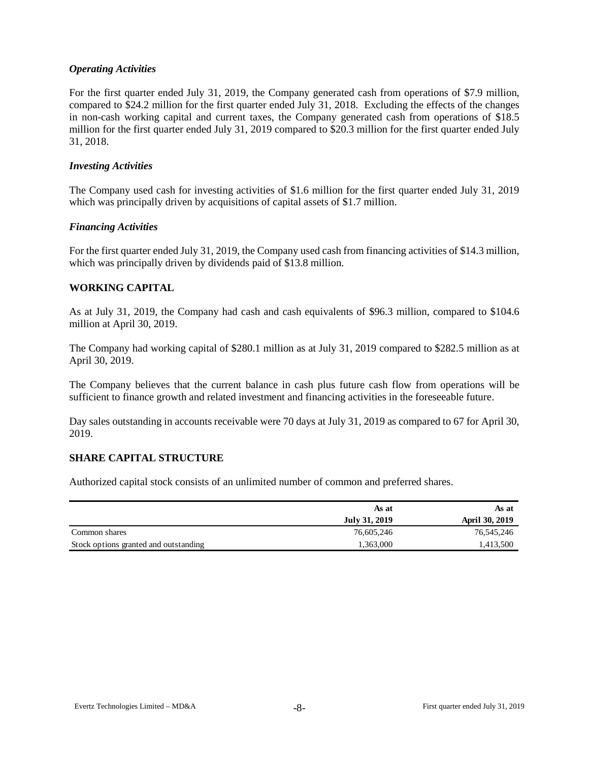### *Operating Activities*

For the first quarter ended July 31, 2019, the Company generated cash from operations of \$7.9 million, compared to \$24.2 million for the first quarter ended July 31, 2018. Excluding the effects of the changes in non-cash working capital and current taxes, the Company generated cash from operations of \$18.5 million for the first quarter ended July 31, 2019 compared to \$20.3 million for the first quarter ended July 31, 2018.

#### *Investing Activities*

The Company used cash for investing activities of \$1.6 million for the first quarter ended July 31, 2019 which was principally driven by acquisitions of capital assets of \$1.7 million.

### *Financing Activities*

For the first quarter ended July 31, 2019, the Company used cash from financing activities of \$14.3 million, which was principally driven by dividends paid of \$13.8 million.

### **WORKING CAPITAL**

As at July 31, 2019, the Company had cash and cash equivalents of \$96.3 million, compared to \$104.6 million at April 30, 2019.

The Company had working capital of \$280.1 million as at July 31, 2019 compared to \$282.5 million as at April 30, 2019.

The Company believes that the current balance in cash plus future cash flow from operations will be sufficient to finance growth and related investment and financing activities in the foreseeable future.

Day sales outstanding in accounts receivable were 70 days at July 31, 2019 as compared to 67 for April 30, 2019.

### **SHARE CAPITAL STRUCTURE**

Authorized capital stock consists of an unlimited number of common and preferred shares.

|                                       | As at         | As at                 |
|---------------------------------------|---------------|-----------------------|
|                                       | July 31, 2019 | <b>April 30, 2019</b> |
| Common shares                         | 76,605,246    | 76,545,246            |
| Stock options granted and outstanding | 1,363,000     | .413,500              |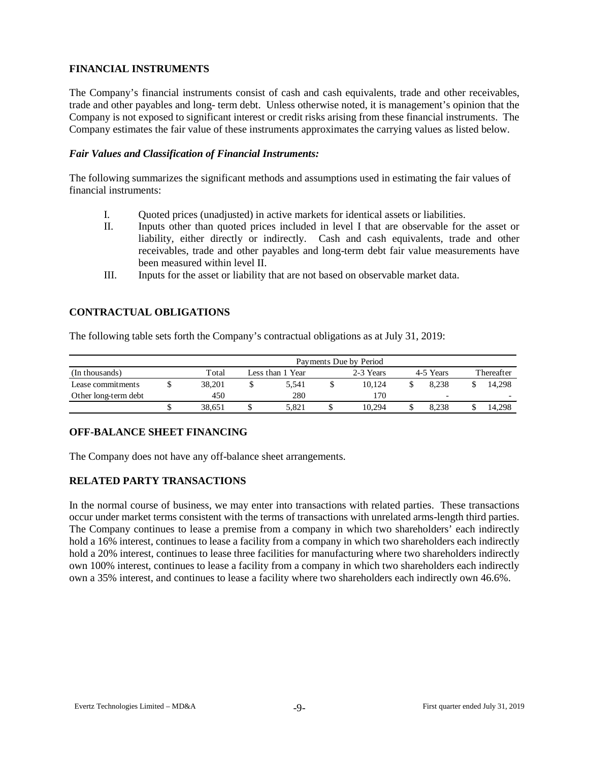### **FINANCIAL INSTRUMENTS**

The Company's financial instruments consist of cash and cash equivalents, trade and other receivables, trade and other payables and long- term debt. Unless otherwise noted, it is management's opinion that the Company is not exposed to significant interest or credit risks arising from these financial instruments. The Company estimates the fair value of these instruments approximates the carrying values as listed below.

### *Fair Values and Classification of Financial Instruments:*

The following summarizes the significant methods and assumptions used in estimating the fair values of financial instruments:

- I. Quoted prices (unadjusted) in active markets for identical assets or liabilities.
- II. Inputs other than quoted prices included in level I that are observable for the asset or liability, either directly or indirectly. Cash and cash equivalents, trade and other receivables, trade and other payables and long-term debt fair value measurements have been measured within level II.
- III. Inputs for the asset or liability that are not based on observable market data.

### **CONTRACTUAL OBLIGATIONS**

The following table sets forth the Company's contractual obligations as at July 31, 2019:

|                      | Payments Due by Period |        |  |                  |  |           |  |           |            |                          |  |  |  |
|----------------------|------------------------|--------|--|------------------|--|-----------|--|-----------|------------|--------------------------|--|--|--|
| (In thousands)       |                        | Total  |  | Less than 1 Year |  | 2-3 Years |  | 4-5 Years | Thereafter |                          |  |  |  |
| Lease commitments    |                        | 38.201 |  | 5.541            |  | 10.124    |  | 8.238     |            | 14.298                   |  |  |  |
| Other long-term debt |                        | 450    |  | 280              |  | l 70      |  | -         |            | $\overline{\phantom{0}}$ |  |  |  |
|                      |                        | 38.651 |  | 5.821            |  | 10.294    |  | 8.238     |            | 14.298                   |  |  |  |

### **OFF-BALANCE SHEET FINANCING**

The Company does not have any off-balance sheet arrangements.

### **RELATED PARTY TRANSACTIONS**

In the normal course of business, we may enter into transactions with related parties. These transactions occur under market terms consistent with the terms of transactions with unrelated arms-length third parties. The Company continues to lease a premise from a company in which two shareholders' each indirectly hold a 16% interest, continues to lease a facility from a company in which two shareholders each indirectly hold a 20% interest, continues to lease three facilities for manufacturing where two shareholders indirectly own 100% interest, continues to lease a facility from a company in which two shareholders each indirectly own a 35% interest, and continues to lease a facility where two shareholders each indirectly own 46.6%.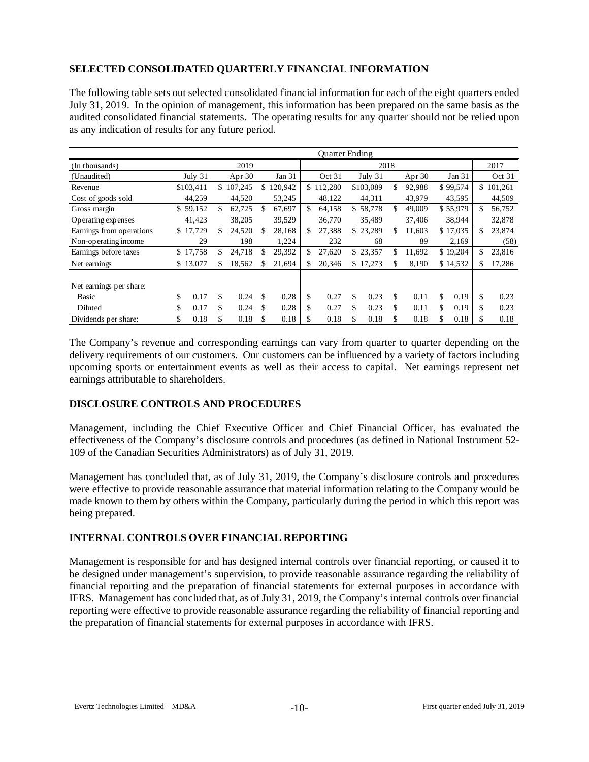## **SELECTED CONSOLIDATED QUARTERLY FINANCIAL INFORMATION**

The following table sets out selected consolidated financial information for each of the eight quarters ended July 31, 2019. In the opinion of management, this information has been prepared on the same basis as the audited consolidated financial statements. The operating results for any quarter should not be relied upon as any indication of results for any future period.

|                          | <b>Ouarter Ending</b> |           |    |         |    |         |     |           |    |           |              |            |              |
|--------------------------|-----------------------|-----------|----|---------|----|---------|-----|-----------|----|-----------|--------------|------------|--------------|
| (In thousands)           |                       |           |    | 2019    |    |         |     |           |    | 2018      |              |            | 2017         |
| (Unaudited)              |                       | July 31   |    | Apr 30  |    | Jan 31  |     | Oct 31    |    | July 31   | Apr $30$     | Jan 31     | Oct 31       |
| Revenue                  |                       | \$103,411 | \$ | 107,245 | \$ | 120,942 |     | \$112,280 |    | \$103,089 | \$<br>92.988 | \$99,574   | \$101,261    |
| Cost of goods sold       |                       | 44,259    |    | 44,520  |    | 53,245  |     | 48,122    |    | 44,311    | 43,979       | 43,595     | 44,509       |
| Gross margin             |                       | \$59,152  | \$ | 62,725  | \$ | 67,697  | \$. | 64,158    |    | \$58,778  | \$<br>49,009 | \$55,979   | \$<br>56,752 |
| Operating expenses       |                       | 41,423    |    | 38,205  |    | 39,529  |     | 36,770    |    | 35,489    | 37,406       | 38,944     | 32,878       |
| Earnings from operations |                       | \$17,729  | \$ | 24,520  | S  | 28,168  | \$. | 27,388    |    | \$23,289  | \$<br>11.603 | \$17,035   | \$<br>23,874 |
| Non-operating income     |                       | 29        |    | 198     |    | 1,224   |     | 232       |    | 68        | 89           | 2,169      | (58)         |
| Earnings before taxes    |                       | \$17,758  | \$ | 24,718  | \$ | 29,392  | \$  | 27,620    |    | \$23,357  | \$<br>11.692 | \$19,204   | \$<br>23,816 |
| Net earnings             |                       | \$13,077  | S. | 18,562  | \$ | 21,694  |     | 20.346    |    | \$17,273  | \$<br>8,190  | \$14,532   | \$<br>17,286 |
|                          |                       |           |    |         |    |         |     |           |    |           |              |            |              |
| Net earnings per share:  |                       |           |    |         |    |         |     |           |    |           |              |            |              |
| Basic                    | \$                    | 0.17      | \$ | 0.24    | \$ | 0.28    | \$  | 0.27      | \$ | 0.23      | \$<br>0.11   | \$<br>0.19 | \$<br>0.23   |
| Diluted                  | \$                    | 0.17      | \$ | 0.24    | \$ | 0.28    | \$  | 0.27      | \$ | 0.23      | \$<br>0.11   | \$<br>0.19 | \$<br>0.23   |
| Dividends per share:     | \$                    | 0.18      | \$ | 0.18    | S  | 0.18    | S   | 0.18      | S  | 0.18      | \$<br>0.18   | \$<br>0.18 | \$<br>0.18   |

The Company's revenue and corresponding earnings can vary from quarter to quarter depending on the delivery requirements of our customers. Our customers can be influenced by a variety of factors including upcoming sports or entertainment events as well as their access to capital. Net earnings represent net earnings attributable to shareholders.

## **DISCLOSURE CONTROLS AND PROCEDURES**

Management, including the Chief Executive Officer and Chief Financial Officer, has evaluated the effectiveness of the Company's disclosure controls and procedures (as defined in National Instrument 52- 109 of the Canadian Securities Administrators) as of July 31, 2019.

Management has concluded that, as of July 31, 2019, the Company's disclosure controls and procedures were effective to provide reasonable assurance that material information relating to the Company would be made known to them by others within the Company, particularly during the period in which this report was being prepared.

## **INTERNAL CONTROLS OVER FINANCIAL REPORTING**

Management is responsible for and has designed internal controls over financial reporting, or caused it to be designed under management's supervision, to provide reasonable assurance regarding the reliability of financial reporting and the preparation of financial statements for external purposes in accordance with IFRS. Management has concluded that, as of July 31, 2019, the Company's internal controls over financial reporting were effective to provide reasonable assurance regarding the reliability of financial reporting and the preparation of financial statements for external purposes in accordance with IFRS.